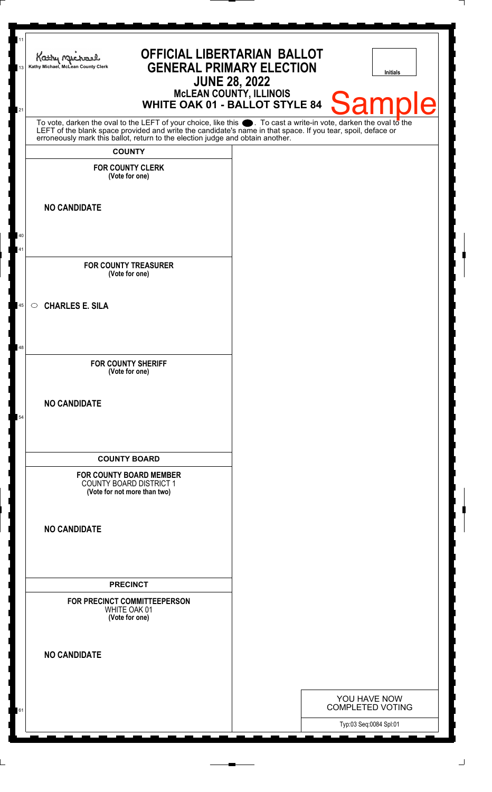| 11<br>13 | <b>OFFICIAL LIBERTARIAN BALLOT</b><br>Kathy My<br><b>GENERAL PRIMARY ELECTION</b><br>Kathy Michael, McLean County Clerk<br><b>JUNE 28, 2022</b>                                                                               | <b>Initials</b>                         |
|----------|-------------------------------------------------------------------------------------------------------------------------------------------------------------------------------------------------------------------------------|-----------------------------------------|
| 21       | McLEAN COUNTY, ILLINOIS<br>WHITE OAK 01 - BALLOT STYLE 84                                                                                                                                                                     | <b>Sample</b>                           |
|          | To vote, darken the oval to the LEFT of your choice, like this . To cast a write-in vote, darken the oval to the LEFT of the blank space provided and write the candidate's name in that space. If you tear, spoil, deface or |                                         |
|          | <b>COUNTY</b>                                                                                                                                                                                                                 |                                         |
|          | <b>FOR COUNTY CLERK</b><br>(Vote for one)                                                                                                                                                                                     |                                         |
|          | <b>NO CANDIDATE</b>                                                                                                                                                                                                           |                                         |
| 40       |                                                                                                                                                                                                                               |                                         |
| 41       |                                                                                                                                                                                                                               |                                         |
|          | <b>FOR COUNTY TREASURER</b><br>(Vote for one)                                                                                                                                                                                 |                                         |
| 45       | <b>CHARLES E. SILA</b><br>$\circ$                                                                                                                                                                                             |                                         |
| 48       |                                                                                                                                                                                                                               |                                         |
|          | <b>FOR COUNTY SHERIFF</b><br>(Vote for one)                                                                                                                                                                                   |                                         |
| 54       | <b>NO CANDIDATE</b>                                                                                                                                                                                                           |                                         |
|          | <b>COUNTY BOARD</b><br><b>FOR COUNTY BOARD MEMBER</b><br><b>COUNTY BOARD DISTRICT 1</b><br>(Vote for not more than two)                                                                                                       |                                         |
|          | <b>NO CANDIDATE</b>                                                                                                                                                                                                           |                                         |
|          | <b>PRECINCT</b>                                                                                                                                                                                                               |                                         |
|          | FOR PRECINCT COMMITTEEPERSON<br>WHITE OAK 01<br>(Vote for one)                                                                                                                                                                |                                         |
|          | <b>NO CANDIDATE</b>                                                                                                                                                                                                           |                                         |
|          |                                                                                                                                                                                                                               |                                         |
| 61       |                                                                                                                                                                                                                               | YOU HAVE NOW<br><b>COMPLETED VOTING</b> |
|          |                                                                                                                                                                                                                               | Typ:03 Seq:0084 Spl:01                  |